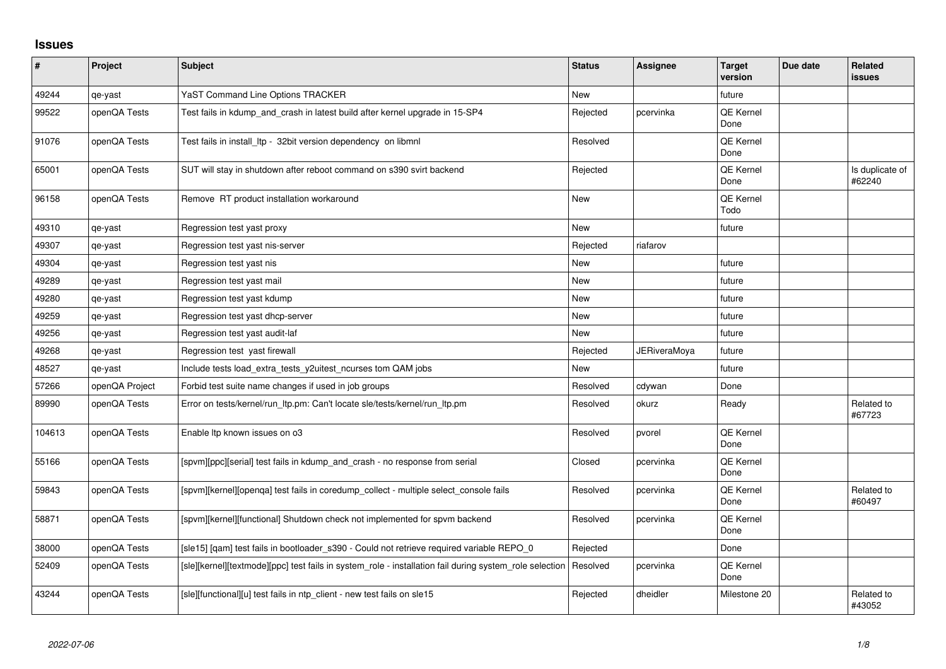## **Issues**

| $\sharp$ | Project        | <b>Subject</b>                                                                                          | <b>Status</b> | <b>Assignee</b>     | <b>Target</b><br>version | Due date | <b>Related</b><br>issues  |
|----------|----------------|---------------------------------------------------------------------------------------------------------|---------------|---------------------|--------------------------|----------|---------------------------|
| 49244    | qe-yast        | YaST Command Line Options TRACKER                                                                       | <b>New</b>    |                     | future                   |          |                           |
| 99522    | openQA Tests   | Test fails in kdump_and_crash in latest build after kernel upgrade in 15-SP4                            | Rejected      | pcervinka           | QE Kernel<br>Done        |          |                           |
| 91076    | openQA Tests   | Test fails in install Itp - 32bit version dependency on libmnl                                          | Resolved      |                     | QE Kernel<br>Done        |          |                           |
| 65001    | openQA Tests   | SUT will stay in shutdown after reboot command on s390 svirt backend                                    | Rejected      |                     | <b>QE Kernel</b><br>Done |          | Is duplicate of<br>#62240 |
| 96158    | openQA Tests   | Remove RT product installation workaround                                                               | New           |                     | QE Kernel<br>Todo        |          |                           |
| 49310    | qe-yast        | Regression test yast proxy                                                                              | <b>New</b>    |                     | future                   |          |                           |
| 49307    | qe-yast        | Regression test yast nis-server                                                                         | Rejected      | riafarov            |                          |          |                           |
| 49304    | qe-yast        | Regression test yast nis                                                                                | <b>New</b>    |                     | future                   |          |                           |
| 49289    | qe-yast        | Regression test yast mail                                                                               | New           |                     | future                   |          |                           |
| 49280    | qe-yast        | Regression test yast kdump                                                                              | <b>New</b>    |                     | future                   |          |                           |
| 49259    | qe-yast        | Regression test yast dhcp-server                                                                        | <b>New</b>    |                     | future                   |          |                           |
| 49256    | qe-yast        | Regression test yast audit-laf                                                                          | New           |                     | future                   |          |                           |
| 49268    | qe-yast        | Regression test yast firewall                                                                           | Rejected      | <b>JERiveraMoya</b> | future                   |          |                           |
| 48527    | qe-yast        | Include tests load_extra_tests_y2uitest_ncurses tom QAM jobs                                            | <b>New</b>    |                     | future                   |          |                           |
| 57266    | openQA Project | Forbid test suite name changes if used in job groups                                                    | Resolved      | cdywan              | Done                     |          |                           |
| 89990    | openQA Tests   | Error on tests/kernel/run_ltp.pm: Can't locate sle/tests/kernel/run_ltp.pm                              | Resolved      | okurz               | Ready                    |          | Related to<br>#67723      |
| 104613   | openQA Tests   | Enable Itp known issues on o3                                                                           | Resolved      | pvorel              | QE Kernel<br>Done        |          |                           |
| 55166    | openQA Tests   | [spvm][ppc][serial] test fails in kdump and crash - no response from serial                             | Closed        | pcervinka           | <b>QE Kernel</b><br>Done |          |                           |
| 59843    | openQA Tests   | [spvm][kernel][openqa] test fails in coredump_collect - multiple select_console fails                   | Resolved      | pcervinka           | QE Kernel<br>Done        |          | Related to<br>#60497      |
| 58871    | openQA Tests   | [spvm][kernel][functional] Shutdown check not implemented for spvm backend                              | Resolved      | pcervinka           | QE Kernel<br>Done        |          |                           |
| 38000    | openQA Tests   | [sle15] [qam] test fails in bootloader_s390 - Could not retrieve required variable REPO_0               | Rejected      |                     | Done                     |          |                           |
| 52409    | openQA Tests   | [sle][kernel][textmode][ppc] test fails in system role - installation fail during system role selection | Resolved      | pcervinka           | QE Kernel<br>Done        |          |                           |
| 43244    | openQA Tests   | [sle][functional][u] test fails in ntp_client - new test fails on sle15                                 | Rejected      | dheidler            | Milestone 20             |          | Related to<br>#43052      |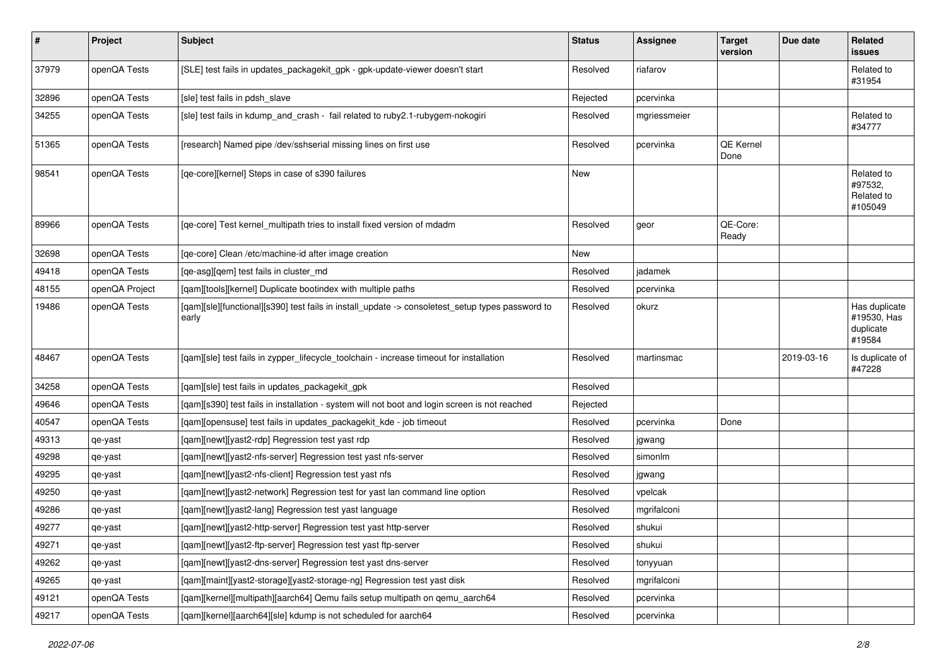| $\sharp$ | Project        | <b>Subject</b>                                                                                            | <b>Status</b> | Assignee     | <b>Target</b><br>version | Due date   | Related<br>issues                                   |
|----------|----------------|-----------------------------------------------------------------------------------------------------------|---------------|--------------|--------------------------|------------|-----------------------------------------------------|
| 37979    | openQA Tests   | [SLE] test fails in updates_packagekit_gpk - gpk-update-viewer doesn't start                              | Resolved      | riafarov     |                          |            | Related to<br>#31954                                |
| 32896    | openQA Tests   | [sle] test fails in pdsh slave                                                                            | Rejected      | pcervinka    |                          |            |                                                     |
| 34255    | openQA Tests   | [sle] test fails in kdump_and_crash - fail related to ruby2.1-rubygem-nokogiri                            | Resolved      | mgriessmeier |                          |            | Related to<br>#34777                                |
| 51365    | openQA Tests   | [research] Named pipe /dev/sshserial missing lines on first use                                           | Resolved      | pcervinka    | QE Kernel<br>Done        |            |                                                     |
| 98541    | openQA Tests   | [qe-core][kernel] Steps in case of s390 failures                                                          | <b>New</b>    |              |                          |            | Related to<br>#97532,<br>Related to<br>#105049      |
| 89966    | openQA Tests   | [qe-core] Test kernel_multipath tries to install fixed version of mdadm                                   | Resolved      | geor         | QE-Core:<br>Ready        |            |                                                     |
| 32698    | openQA Tests   | [qe-core] Clean /etc/machine-id after image creation                                                      | New           |              |                          |            |                                                     |
| 49418    | openQA Tests   | [qe-asg][qem] test fails in cluster_md                                                                    | Resolved      | jadamek      |                          |            |                                                     |
| 48155    | openQA Project | [qam][tools][kernel] Duplicate bootindex with multiple paths                                              | Resolved      | pcervinka    |                          |            |                                                     |
| 19486    | openQA Tests   | [qam][sle][functional][s390] test fails in install_update -> consoletest_setup types password to<br>early | Resolved      | okurz        |                          |            | Has duplicate<br>#19530, Has<br>duplicate<br>#19584 |
| 48467    | openQA Tests   | [qam][sle] test fails in zypper_lifecycle_toolchain - increase timeout for installation                   | Resolved      | martinsmac   |                          | 2019-03-16 | Is duplicate of<br>#47228                           |
| 34258    | openQA Tests   | [qam][sle] test fails in updates_packagekit_gpk                                                           | Resolved      |              |                          |            |                                                     |
| 49646    | openQA Tests   | [qam][s390] test fails in installation - system will not boot and login screen is not reached             | Rejected      |              |                          |            |                                                     |
| 40547    | openQA Tests   | [qam][opensuse] test fails in updates_packagekit_kde - job timeout                                        | Resolved      | pcervinka    | Done                     |            |                                                     |
| 49313    | qe-yast        | [qam][newt][yast2-rdp] Regression test yast rdp                                                           | Resolved      | jgwang       |                          |            |                                                     |
| 49298    | qe-yast        | [qam][newt][yast2-nfs-server] Regression test yast nfs-server                                             | Resolved      | simonlm      |                          |            |                                                     |
| 49295    | qe-yast        | [qam][newt][yast2-nfs-client] Regression test yast nfs                                                    | Resolved      | jgwang       |                          |            |                                                     |
| 49250    | qe-yast        | [qam][newt][yast2-network] Regression test for yast lan command line option                               | Resolved      | vpelcak      |                          |            |                                                     |
| 49286    | qe-yast        | [qam][newt][yast2-lang] Regression test yast language                                                     | Resolved      | mgrifalconi  |                          |            |                                                     |
| 49277    | qe-yast        | [qam][newt][yast2-http-server] Regression test yast http-server                                           | Resolved      | shukui       |                          |            |                                                     |
| 49271    | qe-yast        | [qam][newt][yast2-ftp-server] Regression test yast ftp-server                                             | Resolved      | shukui       |                          |            |                                                     |
| 49262    | qe-yast        | [gam][newt][yast2-dns-server] Regression test yast dns-server                                             | Resolved      | tonyyuan     |                          |            |                                                     |
| 49265    | qe-yast        | [qam][maint][yast2-storage][yast2-storage-ng] Regression test yast disk                                   | Resolved      | mgrifalconi  |                          |            |                                                     |
| 49121    | openQA Tests   | [qam][kernel][multipath][aarch64] Qemu fails setup multipath on qemu_aarch64                              | Resolved      | pcervinka    |                          |            |                                                     |
| 49217    | openQA Tests   | [qam][kernel][aarch64][sle] kdump is not scheduled for aarch64                                            | Resolved      | pcervinka    |                          |            |                                                     |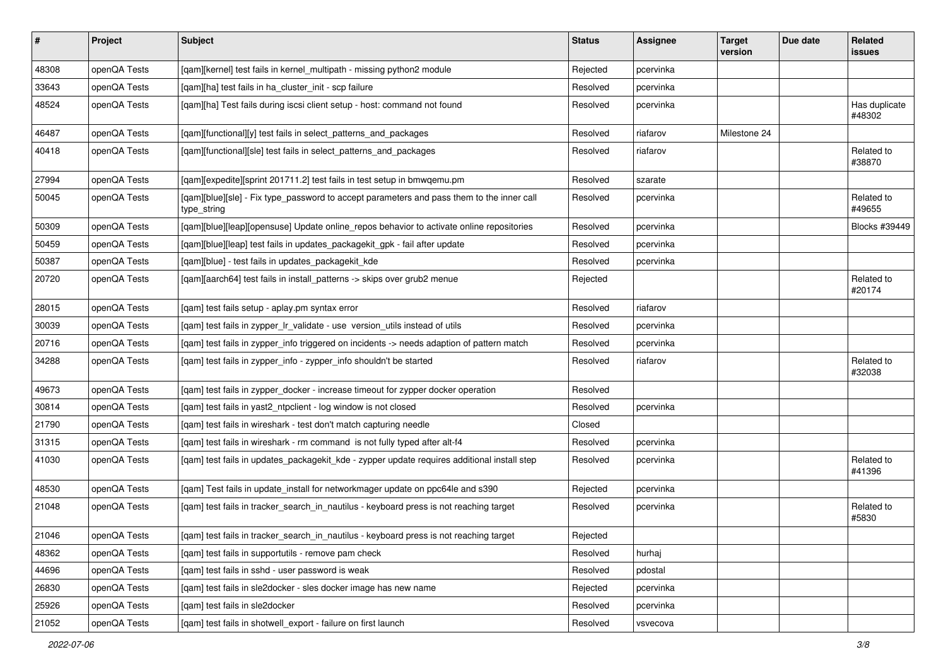| $\vert$ # | Project      | Subject                                                                                                  | <b>Status</b> | Assignee  | <b>Target</b><br>version | Due date | Related<br><b>issues</b> |
|-----------|--------------|----------------------------------------------------------------------------------------------------------|---------------|-----------|--------------------------|----------|--------------------------|
| 48308     | openQA Tests | [qam][kernel] test fails in kernel_multipath - missing python2 module                                    | Rejected      | pcervinka |                          |          |                          |
| 33643     | openQA Tests | [gam][ha] test fails in ha cluster init - scp failure                                                    | Resolved      | pcervinka |                          |          |                          |
| 48524     | openQA Tests | [qam][ha] Test fails during iscsi client setup - host: command not found                                 | Resolved      | pcervinka |                          |          | Has duplicate<br>#48302  |
| 46487     | openQA Tests | [qam][functional][y] test fails in select_patterns_and_packages                                          | Resolved      | riafarov  | Milestone 24             |          |                          |
| 40418     | openQA Tests | [qam][functional][sle] test fails in select_patterns_and_packages                                        | Resolved      | riafarov  |                          |          | Related to<br>#38870     |
| 27994     | openQA Tests | [qam][expedite][sprint 201711.2] test fails in test setup in bmwqemu.pm                                  | Resolved      | szarate   |                          |          |                          |
| 50045     | openQA Tests | [qam][blue][sle] - Fix type_password to accept parameters and pass them to the inner call<br>type_string | Resolved      | pcervinka |                          |          | Related to<br>#49655     |
| 50309     | openQA Tests | [qam][blue][leap][opensuse] Update online_repos behavior to activate online repositories                 | Resolved      | pcervinka |                          |          | Blocks #39449            |
| 50459     | openQA Tests | [qam][blue][leap] test fails in updates_packagekit_gpk - fail after update                               | Resolved      | pcervinka |                          |          |                          |
| 50387     | openQA Tests | [qam][blue] - test fails in updates_packagekit_kde                                                       | Resolved      | pcervinka |                          |          |                          |
| 20720     | openQA Tests | [qam][aarch64] test fails in install_patterns -> skips over grub2 menue                                  | Rejected      |           |                          |          | Related to<br>#20174     |
| 28015     | openQA Tests | [qam] test fails setup - aplay.pm syntax error                                                           | Resolved      | riafarov  |                          |          |                          |
| 30039     | openQA Tests | [qam] test fails in zypper_lr_validate - use version_utils instead of utils                              | Resolved      | pcervinka |                          |          |                          |
| 20716     | openQA Tests | [qam] test fails in zypper_info triggered on incidents -> needs adaption of pattern match                | Resolved      | pcervinka |                          |          |                          |
| 34288     | openQA Tests | [qam] test fails in zypper_info - zypper_info shouldn't be started                                       | Resolved      | riafarov  |                          |          | Related to<br>#32038     |
| 49673     | openQA Tests | [gam] test fails in zypper docker - increase timeout for zypper docker operation                         | Resolved      |           |                          |          |                          |
| 30814     | openQA Tests | [qam] test fails in yast2_ntpclient - log window is not closed                                           | Resolved      | pcervinka |                          |          |                          |
| 21790     | openQA Tests | [qam] test fails in wireshark - test don't match capturing needle                                        | Closed        |           |                          |          |                          |
| 31315     | openQA Tests | [qam] test fails in wireshark - rm command is not fully typed after alt-f4                               | Resolved      | pcervinka |                          |          |                          |
| 41030     | openQA Tests | [qam] test fails in updates_packagekit_kde - zypper update requires additional install step              | Resolved      | pcervinka |                          |          | Related to<br>#41396     |
| 48530     | openQA Tests | [qam] Test fails in update_install for networkmager update on ppc64le and s390                           | Rejected      | pcervinka |                          |          |                          |
| 21048     | openQA Tests | [qam] test fails in tracker_search_in_nautilus - keyboard press is not reaching target                   | Resolved      | pcervinka |                          |          | Related to<br>#5830      |
| 21046     | openQA Tests | [qam] test fails in tracker_search_in_nautilus - keyboard press is not reaching target                   | Rejected      |           |                          |          |                          |
| 48362     | openQA Tests | [qam] test fails in supportutils - remove pam check                                                      | Resolved      | hurhaj    |                          |          |                          |
| 44696     | openQA Tests | [qam] test fails in sshd - user password is weak                                                         | Resolved      | pdostal   |                          |          |                          |
| 26830     | openQA Tests | [qam] test fails in sle2docker - sles docker image has new name                                          | Rejected      | pcervinka |                          |          |                          |
| 25926     | openQA Tests | [gam] test fails in sle2docker                                                                           | Resolved      | pcervinka |                          |          |                          |
| 21052     | openQA Tests | [qam] test fails in shotwell_export - failure on first launch                                            | Resolved      | vsvecova  |                          |          |                          |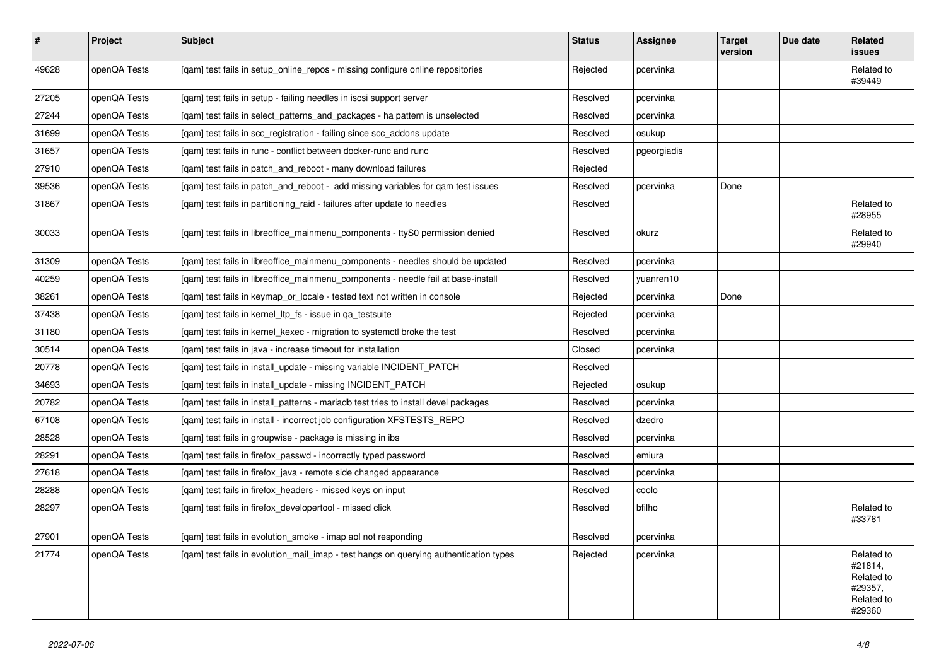| $\sharp$ | Project      | <b>Subject</b>                                                                        | <b>Status</b> | Assignee    | <b>Target</b><br>version | Due date | Related<br>issues                                                      |
|----------|--------------|---------------------------------------------------------------------------------------|---------------|-------------|--------------------------|----------|------------------------------------------------------------------------|
| 49628    | openQA Tests | [qam] test fails in setup_online_repos - missing configure online repositories        | Rejected      | pcervinka   |                          |          | Related to<br>#39449                                                   |
| 27205    | openQA Tests | [gam] test fails in setup - failing needles in iscsi support server                   | Resolved      | pcervinka   |                          |          |                                                                        |
| 27244    | openQA Tests | [gam] test fails in select patterns and packages - ha pattern is unselected           | Resolved      | pcervinka   |                          |          |                                                                        |
| 31699    | openQA Tests | [gam] test fails in scc registration - failing since scc addons update                | Resolved      | osukup      |                          |          |                                                                        |
| 31657    | openQA Tests | [gam] test fails in runc - conflict between docker-runc and runc                      | Resolved      | pgeorgiadis |                          |          |                                                                        |
| 27910    | openQA Tests | [gam] test fails in patch and reboot - many download failures                         | Rejected      |             |                          |          |                                                                        |
| 39536    | openQA Tests | [gam] test fails in patch and reboot - add missing variables for gam test issues      | Resolved      | pcervinka   | Done                     |          |                                                                        |
| 31867    | openQA Tests | [gam] test fails in partitioning raid - failures after update to needles              | Resolved      |             |                          |          | Related to<br>#28955                                                   |
| 30033    | openQA Tests | [qam] test fails in libreoffice_mainmenu_components - ttyS0 permission denied         | Resolved      | okurz       |                          |          | Related to<br>#29940                                                   |
| 31309    | openQA Tests | [gam] test fails in libreoffice mainmenu components - needles should be updated       | Resolved      | pcervinka   |                          |          |                                                                        |
| 40259    | openQA Tests | [gam] test fails in libreoffice mainmenu components - needle fail at base-install     | Resolved      | yuanren10   |                          |          |                                                                        |
| 38261    | openQA Tests | [qam] test fails in keymap_or_locale - tested text not written in console             | Rejected      | pcervinka   | Done                     |          |                                                                        |
| 37438    | openQA Tests | [gam] test fails in kernel Itp fs - issue in ga testsuite                             | Rejected      | pcervinka   |                          |          |                                                                        |
| 31180    | openQA Tests | [gam] test fails in kernel kexec - migration to systemctl broke the test              | Resolved      | pcervinka   |                          |          |                                                                        |
| 30514    | openQA Tests | [gam] test fails in java - increase timeout for installation                          | Closed        | pcervinka   |                          |          |                                                                        |
| 20778    | openQA Tests | [qam] test fails in install_update - missing variable INCIDENT_PATCH                  | Resolved      |             |                          |          |                                                                        |
| 34693    | openQA Tests | [qam] test fails in install_update - missing INCIDENT_PATCH                           | Rejected      | osukup      |                          |          |                                                                        |
| 20782    | openQA Tests | [gam] test fails in install patterns - mariadb test tries to install devel packages   | Resolved      | pcervinka   |                          |          |                                                                        |
| 67108    | openQA Tests | [gam] test fails in install - incorrect job configuration XFSTESTS REPO               | Resolved      | dzedro      |                          |          |                                                                        |
| 28528    | openQA Tests | [gam] test fails in groupwise - package is missing in ibs                             | Resolved      | pcervinka   |                          |          |                                                                        |
| 28291    | openQA Tests | [gam] test fails in firefox passwd - incorrectly typed password                       | Resolved      | emiura      |                          |          |                                                                        |
| 27618    | openQA Tests | [gam] test fails in firefox_java - remote side changed appearance                     | Resolved      | pcervinka   |                          |          |                                                                        |
| 28288    | openQA Tests | [gam] test fails in firefox headers - missed keys on input                            | Resolved      | coolo       |                          |          |                                                                        |
| 28297    | openQA Tests | [gam] test fails in firefox developertool - missed click                              | Resolved      | bfilho      |                          |          | Related to<br>#33781                                                   |
| 27901    | openQA Tests | [qam] test fails in evolution_smoke - imap aol not responding                         | Resolved      | pcervinka   |                          |          |                                                                        |
| 21774    | openQA Tests | [gam] test fails in evolution mail imap - test hangs on querying authentication types | Rejected      | pcervinka   |                          |          | Related to<br>#21814,<br>Related to<br>#29357,<br>Related to<br>#29360 |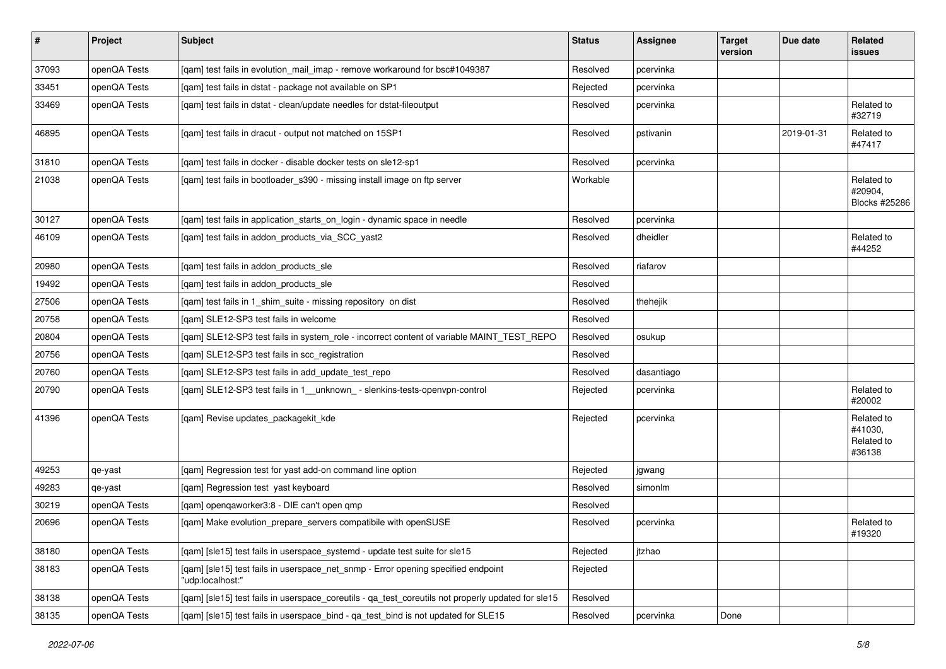| $\sharp$ | Project      | <b>Subject</b>                                                                                        | <b>Status</b> | Assignee   | <b>Target</b><br>version | Due date   | Related<br>issues                             |
|----------|--------------|-------------------------------------------------------------------------------------------------------|---------------|------------|--------------------------|------------|-----------------------------------------------|
| 37093    | openQA Tests | [gam] test fails in evolution mail imap - remove workaround for bsc#1049387                           | Resolved      | pcervinka  |                          |            |                                               |
| 33451    | openQA Tests | [qam] test fails in dstat - package not available on SP1                                              | Rejected      | pcervinka  |                          |            |                                               |
| 33469    | openQA Tests | [qam] test fails in dstat - clean/update needles for dstat-fileoutput                                 | Resolved      | pcervinka  |                          |            | Related to<br>#32719                          |
| 46895    | openQA Tests | [qam] test fails in dracut - output not matched on 15SP1                                              | Resolved      | pstivanin  |                          | 2019-01-31 | Related to<br>#47417                          |
| 31810    | openQA Tests | [qam] test fails in docker - disable docker tests on sle12-sp1                                        | Resolved      | pcervinka  |                          |            |                                               |
| 21038    | openQA Tests | [qam] test fails in bootloader_s390 - missing install image on ftp server                             | Workable      |            |                          |            | Related to<br>#20904,<br>Blocks #25286        |
| 30127    | openQA Tests | [qam] test fails in application_starts_on_login - dynamic space in needle                             | Resolved      | pcervinka  |                          |            |                                               |
| 46109    | openQA Tests | [qam] test fails in addon_products_via_SCC_yast2                                                      | Resolved      | dheidler   |                          |            | Related to<br>#44252                          |
| 20980    | openQA Tests | [qam] test fails in addon_products_sle                                                                | Resolved      | riafarov   |                          |            |                                               |
| 19492    | openQA Tests | [gam] test fails in addon products sle                                                                | Resolved      |            |                          |            |                                               |
| 27506    | openQA Tests | [gam] test fails in 1 shim suite - missing repository on dist                                         | Resolved      | thehejik   |                          |            |                                               |
| 20758    | openQA Tests | [qam] SLE12-SP3 test fails in welcome                                                                 | Resolved      |            |                          |            |                                               |
| 20804    | openQA Tests | [qam] SLE12-SP3 test fails in system_role - incorrect content of variable MAINT_TEST_REPO             | Resolved      | osukup     |                          |            |                                               |
| 20756    | openQA Tests | [qam] SLE12-SP3 test fails in scc_registration                                                        | Resolved      |            |                          |            |                                               |
| 20760    | openQA Tests | [qam] SLE12-SP3 test fails in add_update_test_repo                                                    | Resolved      | dasantiago |                          |            |                                               |
| 20790    | openQA Tests | [qam] SLE12-SP3 test fails in 1_unknown_ - slenkins-tests-openvpn-control                             | Rejected      | pcervinka  |                          |            | Related to<br>#20002                          |
| 41396    | openQA Tests | [qam] Revise updates_packagekit_kde                                                                   | Rejected      | pcervinka  |                          |            | Related to<br>#41030,<br>Related to<br>#36138 |
| 49253    | qe-yast      | [qam] Regression test for yast add-on command line option                                             | Rejected      | jgwang     |                          |            |                                               |
| 49283    | qe-yast      | [qam] Regression test yast keyboard                                                                   | Resolved      | simonlm    |                          |            |                                               |
| 30219    | openQA Tests | [qam] openqaworker3:8 - DIE can't open qmp                                                            | Resolved      |            |                          |            |                                               |
| 20696    | openQA Tests | [qam] Make evolution_prepare_servers compatibile with openSUSE                                        | Resolved      | pcervinka  |                          |            | Related to<br>#19320                          |
| 38180    | openQA Tests | [gam] [sle15] test fails in userspace systemd - update test suite for sle15                           | Rejected      | jtzhao     |                          |            |                                               |
| 38183    | openQA Tests | [qam] [sle15] test fails in userspace_net_snmp - Error opening specified endpoint<br>"udp:localhost:" | Rejected      |            |                          |            |                                               |
| 38138    | openQA Tests | [qam] [sle15] test fails in userspace_coreutils - qa_test_coreutils not properly updated for sle15    | Resolved      |            |                          |            |                                               |
| 38135    | openQA Tests | [qam] [sle15] test fails in userspace_bind - qa_test_bind is not updated for SLE15                    | Resolved      | pcervinka  | Done                     |            |                                               |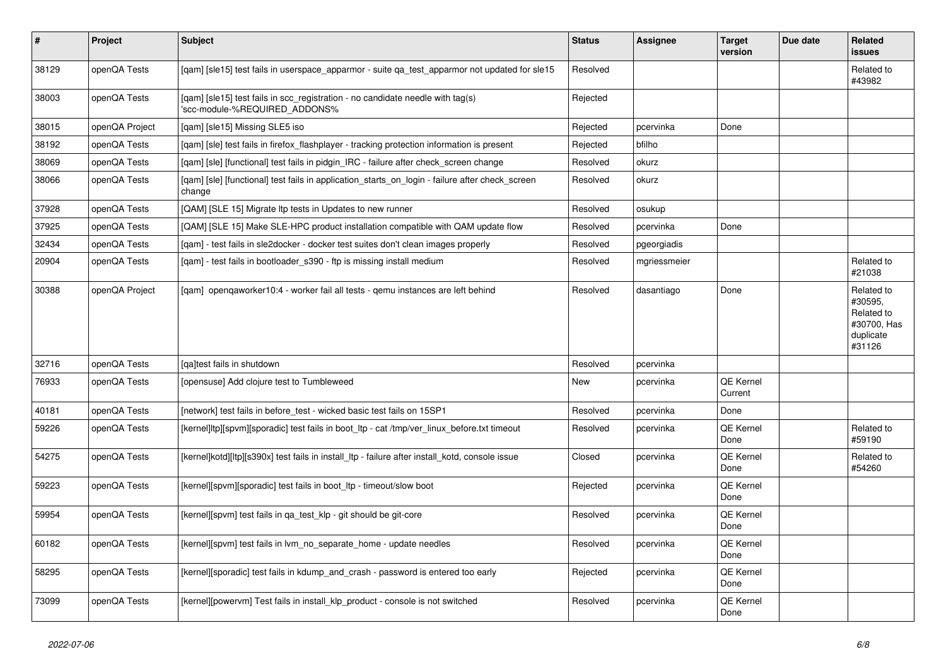| $\vert$ # | <b>Project</b> | <b>Subject</b>                                                                                                  | <b>Status</b> | <b>Assignee</b> | <b>Target</b><br>version | Due date | Related<br><b>issues</b>                                                  |
|-----------|----------------|-----------------------------------------------------------------------------------------------------------------|---------------|-----------------|--------------------------|----------|---------------------------------------------------------------------------|
| 38129     | openQA Tests   | [gam] [sle15] test fails in userspace apparmor - suite ga test apparmor not updated for sle15                   | Resolved      |                 |                          |          | Related to<br>#43982                                                      |
| 38003     | openQA Tests   | [gam] [sle15] test fails in scc registration - no candidate needle with tag(s)<br>'scc-module-%REQUIRED_ADDONS% | Rejected      |                 |                          |          |                                                                           |
| 38015     | openQA Project | [qam] [sle15] Missing SLE5 iso                                                                                  | Rejected      | pcervinka       | Done                     |          |                                                                           |
| 38192     | openQA Tests   | [qam] [sle] test fails in firefox_flashplayer - tracking protection information is present                      | Rejected      | bfilho          |                          |          |                                                                           |
| 38069     | openQA Tests   | [gam] [sle] [functional] test fails in pidgin IRC - failure after check screen change                           | Resolved      | okurz           |                          |          |                                                                           |
| 38066     | openQA Tests   | [gam] [sle] [functional] test fails in application starts on login - failure after check screen<br>change       | Resolved      | okurz           |                          |          |                                                                           |
| 37928     | openQA Tests   | [QAM] [SLE 15] Migrate Itp tests in Updates to new runner                                                       | Resolved      | osukup          |                          |          |                                                                           |
| 37925     | openQA Tests   | [QAM] [SLE 15] Make SLE-HPC product installation compatible with QAM update flow                                | Resolved      | pcervinka       | Done                     |          |                                                                           |
| 32434     | openQA Tests   | [gam] - test fails in sle2docker - docker test suites don't clean images properly                               | Resolved      | pgeorgiadis     |                          |          |                                                                           |
| 20904     | openQA Tests   | [gam] - test fails in bootloader s390 - ftp is missing install medium                                           | Resolved      | mgriessmeier    |                          |          | Related to<br>#21038                                                      |
| 30388     | openQA Project | [gam] opengaworker10:4 - worker fail all tests - gemu instances are left behind                                 | Resolved      | dasantiago      | Done                     |          | Related to<br>#30595,<br>Related to<br>#30700, Has<br>duplicate<br>#31126 |
| 32716     | openQA Tests   | [ga]test fails in shutdown                                                                                      | Resolved      | pcervinka       |                          |          |                                                                           |
| 76933     | openQA Tests   | [opensuse] Add clojure test to Tumbleweed                                                                       | New           | pcervinka       | QE Kernel<br>Current     |          |                                                                           |
| 40181     | openQA Tests   | [network] test fails in before_test - wicked basic test fails on 15SP1                                          | Resolved      | pcervinka       | Done                     |          |                                                                           |
| 59226     | openQA Tests   | [kernel]ltp][spvm][sporadic] test fails in boot ltp - cat /tmp/ver linux before.txt timeout                     | Resolved      | pcervinka       | QE Kernel<br>Done        |          | Related to<br>#59190                                                      |
| 54275     | openQA Tests   | [kernel]kotd][ltp][s390x] test fails in install_ltp - failure after install_kotd, console issue                 | Closed        | pcervinka       | QE Kernel<br>Done        |          | Related to<br>#54260                                                      |
| 59223     | openQA Tests   | [kernel][spvm][sporadic] test fails in boot ltp - timeout/slow boot                                             | Rejected      | pcervinka       | QE Kernel<br>Done        |          |                                                                           |
| 59954     | openQA Tests   | [kernel][spvm] test fails in qa_test_klp - git should be git-core                                               | Resolved      | pcervinka       | QE Kernel<br>Done        |          |                                                                           |
| 60182     | openQA Tests   | [kernel][spvm] test fails in lvm no separate home - update needles                                              | Resolved      | pcervinka       | QE Kernel<br>Done        |          |                                                                           |
| 58295     | openQA Tests   | [kernel][sporadic] test fails in kdump_and_crash - password is entered too early                                | Rejected      | pcervinka       | QE Kernel<br>Done        |          |                                                                           |
| 73099     | openQA Tests   | [kernel][powervm] Test fails in install klp product - console is not switched                                   | Resolved      | pcervinka       | QE Kernel<br>Done        |          |                                                                           |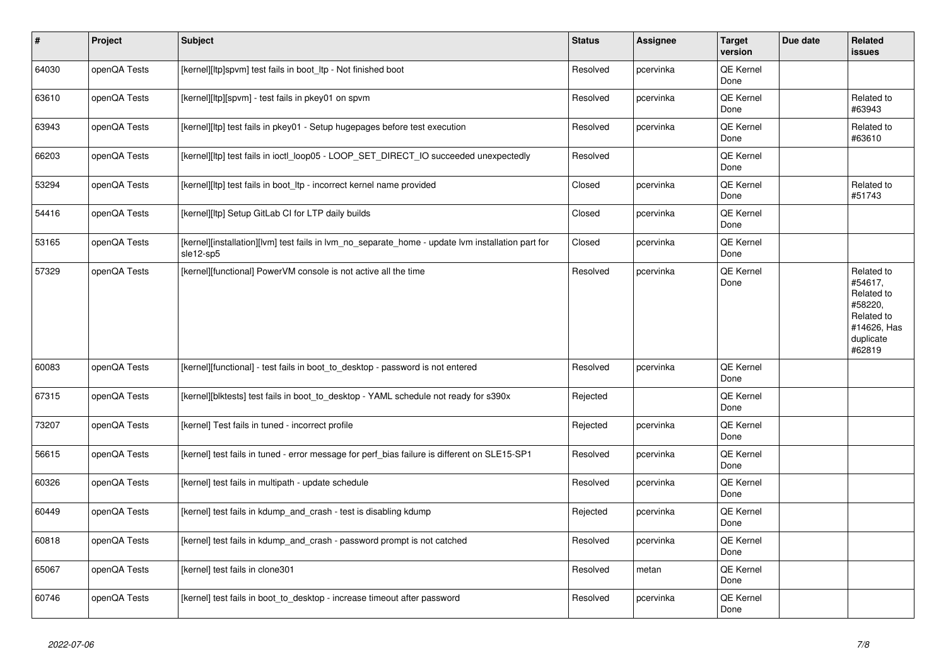| $\vert$ # | Project      | <b>Subject</b>                                                                                                 | <b>Status</b> | Assignee  | <b>Target</b><br>version | Due date | Related<br>issues                                                                                  |
|-----------|--------------|----------------------------------------------------------------------------------------------------------------|---------------|-----------|--------------------------|----------|----------------------------------------------------------------------------------------------------|
| 64030     | openQA Tests | [kernel][ltp]spvm] test fails in boot_ltp - Not finished boot                                                  | Resolved      | pcervinka | QE Kernel<br>Done        |          |                                                                                                    |
| 63610     | openQA Tests | [kernel][ltp][spvm] - test fails in pkey01 on spvm                                                             | Resolved      | pcervinka | QE Kernel<br>Done        |          | Related to<br>#63943                                                                               |
| 63943     | openQA Tests | [kernel][ltp] test fails in pkey01 - Setup hugepages before test execution                                     | Resolved      | pcervinka | QE Kernel<br>Done        |          | Related to<br>#63610                                                                               |
| 66203     | openQA Tests | [kernel][ltp] test fails in ioctl_loop05 - LOOP_SET_DIRECT_IO succeeded unexpectedly                           | Resolved      |           | QE Kernel<br>Done        |          |                                                                                                    |
| 53294     | openQA Tests | [kernel][ltp] test fails in boot_ltp - incorrect kernel name provided                                          | Closed        | pcervinka | QE Kernel<br>Done        |          | Related to<br>#51743                                                                               |
| 54416     | openQA Tests | [kernel][ltp] Setup GitLab CI for LTP daily builds                                                             | Closed        | pcervinka | QE Kernel<br>Done        |          |                                                                                                    |
| 53165     | openQA Tests | [kernel][installation][lvm] test fails in lvm_no_separate_home - update lvm installation part for<br>sle12-sp5 | Closed        | pcervinka | QE Kernel<br>Done        |          |                                                                                                    |
| 57329     | openQA Tests | [kernel][functional] PowerVM console is not active all the time                                                | Resolved      | pcervinka | QE Kernel<br>Done        |          | Related to<br>#54617,<br>Related to<br>#58220,<br>Related to<br>#14626, Has<br>duplicate<br>#62819 |
| 60083     | openQA Tests | [kernel][functional] - test fails in boot_to_desktop - password is not entered                                 | Resolved      | pcervinka | <b>QE Kernel</b><br>Done |          |                                                                                                    |
| 67315     | openQA Tests | [kernel][blktests] test fails in boot_to_desktop - YAML schedule not ready for s390x                           | Rejected      |           | QE Kernel<br>Done        |          |                                                                                                    |
| 73207     | openQA Tests | [kernel] Test fails in tuned - incorrect profile                                                               | Rejected      | pcervinka | <b>QE Kernel</b><br>Done |          |                                                                                                    |
| 56615     | openQA Tests | [kernel] test fails in tuned - error message for perf_bias failure is different on SLE15-SP1                   | Resolved      | pcervinka | QE Kernel<br>Done        |          |                                                                                                    |
| 60326     | openQA Tests | [kernel] test fails in multipath - update schedule                                                             | Resolved      | pcervinka | QE Kernel<br>Done        |          |                                                                                                    |
| 60449     | openQA Tests | [kernel] test fails in kdump_and_crash - test is disabling kdump                                               | Rejected      | pcervinka | QE Kernel<br>Done        |          |                                                                                                    |
| 60818     | openQA Tests | [kernel] test fails in kdump_and_crash - password prompt is not catched                                        | Resolved      | pcervinka | QE Kernel<br>Done        |          |                                                                                                    |
| 65067     | openQA Tests | [kernel] test fails in clone301                                                                                | Resolved      | metan     | QE Kernel<br>Done        |          |                                                                                                    |
| 60746     | openQA Tests | [kernel] test fails in boot to desktop - increase timeout after password                                       | Resolved      | pcervinka | QE Kernel<br>Done        |          |                                                                                                    |